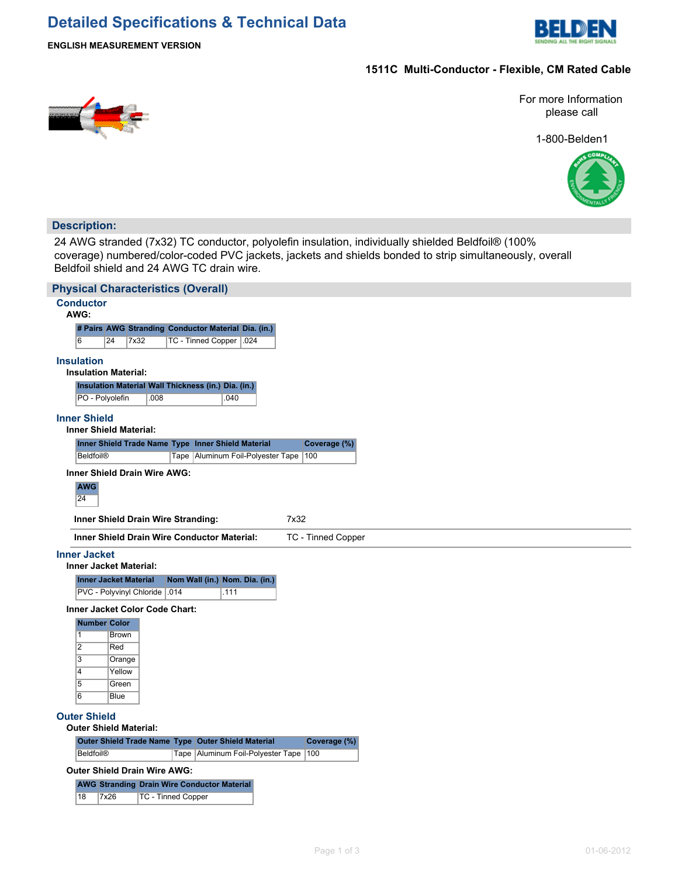# **Detailed Specifications & Technical Data**



#### **ENGLISH MEASUREMENT VERSION**

## **1511C Multi-Conductor - Flexible, CM Rated Cable**



For more Information please call

1-800-Belden1



### **Description:**

24 AWG stranded (7x32) TC conductor, polyolefin insulation, individually shielded Beldfoil® (100% coverage) numbered/color-coded PVC jackets, jackets and shields bonded to strip simultaneously, overall Beldfoil shield and 24 AWG TC drain wire.

| <b>Physical Characteristics (Overall)</b>                                                                                           |
|-------------------------------------------------------------------------------------------------------------------------------------|
| <b>Conductor</b><br>AWG:                                                                                                            |
| # Pairs AWG Stranding Conductor Material Dia. (in.)                                                                                 |
| 6<br>7x32<br>TC - Tinned Copper<br>.024<br>24                                                                                       |
| <b>Insulation</b>                                                                                                                   |
| <b>Insulation Material:</b>                                                                                                         |
| Insulation Material Wall Thickness (in.) Dia. (in.)                                                                                 |
| .040<br>PO - Polyolefin<br>.008                                                                                                     |
| <b>Inner Shield</b>                                                                                                                 |
| <b>Inner Shield Material:</b>                                                                                                       |
| Inner Shield Trade Name Type Inner Shield Material<br>Coverage (%)<br><b>Beldfoil®</b><br>Tape   Aluminum Foil-Polyester Tape   100 |
|                                                                                                                                     |
| Inner Shield Drain Wire AWG:<br><b>AWG</b>                                                                                          |
| 24                                                                                                                                  |
| 7x32<br>Inner Shield Drain Wire Stranding:                                                                                          |
| <b>Inner Shield Drain Wire Conductor Material:</b><br>TC - Tinned Copper                                                            |
| <b>Inner Jacket</b>                                                                                                                 |
| <b>Inner Jacket Material:</b>                                                                                                       |
| Nom Wall (in.) Nom. Dia. (in.)<br><b>Inner Jacket Material</b><br>PVC - Polyvinyl Chloride .014<br>.111                             |
| <b>Inner Jacket Color Code Chart:</b>                                                                                               |
| Number Color                                                                                                                        |
| $\vert$ 1<br><b>Brown</b>                                                                                                           |
| $\overline{2}$<br>Red                                                                                                               |
| 3<br>Orange                                                                                                                         |
| $\overline{4}$<br>Yellow                                                                                                            |
|                                                                                                                                     |
| $\overline{5}$<br>Green<br>$\overline{6}$<br><b>Blue</b>                                                                            |
|                                                                                                                                     |
| <b>Outer Shield</b><br><b>Outer Shield Material:</b>                                                                                |
| Outer Shield Trade Name Type Outer Shield Material<br>Coverage (%)                                                                  |
| <b>Beldfoil®</b><br>Tape Aluminum Foil-Polyester Tape<br>100                                                                        |
| Outer Shield Drain Wire AWG:                                                                                                        |
| <b>AWG Stranding Drain Wire Conductor Material</b><br>7x26<br>18<br><b>TC - Tinned Copper</b>                                       |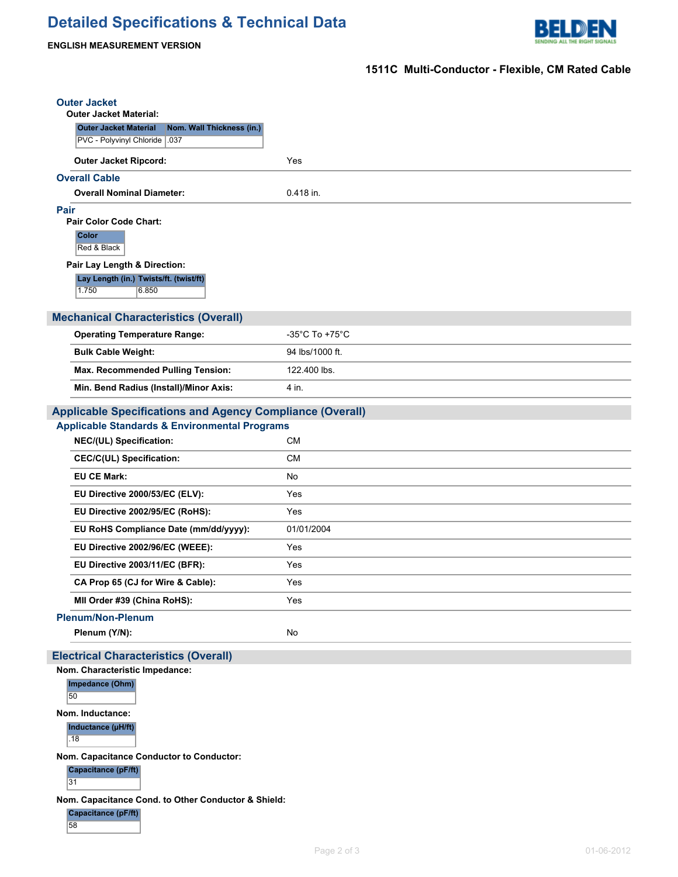

#### **ENGLISH MEASUREMENT VERSION**

## **1511C Multi-Conductor - Flexible, CM Rated Cable**

| <b>Outer Jacket</b>                                                                        |                                     |
|--------------------------------------------------------------------------------------------|-------------------------------------|
| <b>Outer Jacket Material:</b><br>Nom. Wall Thickness (in.)<br><b>Outer Jacket Material</b> |                                     |
| PVC - Polyvinyl Chloride   .037                                                            |                                     |
| <b>Outer Jacket Ripcord:</b>                                                               | Yes                                 |
| <b>Overall Cable</b>                                                                       |                                     |
| <b>Overall Nominal Diameter:</b>                                                           | 0.418 in.                           |
| Pair                                                                                       |                                     |
| Pair Color Code Chart:<br>Color                                                            |                                     |
| Red & Black                                                                                |                                     |
| Pair Lay Length & Direction:                                                               |                                     |
| Lay Length (in.) Twists/ft. (twist/ft)                                                     |                                     |
| 1.750<br>6.850                                                                             |                                     |
| <b>Mechanical Characteristics (Overall)</b>                                                |                                     |
| <b>Operating Temperature Range:</b>                                                        | $-35^{\circ}$ C To +75 $^{\circ}$ C |
| <b>Bulk Cable Weight:</b>                                                                  | 94 lbs/1000 ft.                     |
| Max. Recommended Pulling Tension:                                                          | 122.400 lbs.                        |
| Min. Bend Radius (Install)/Minor Axis:                                                     | 4 in.                               |
| <b>Applicable Specifications and Agency Compliance (Overall)</b>                           |                                     |
| <b>Applicable Standards &amp; Environmental Programs</b>                                   |                                     |
| NEC/(UL) Specification:                                                                    | <b>CM</b>                           |
| <b>CEC/C(UL) Specification:</b>                                                            | <b>CM</b>                           |
| <b>EU CE Mark:</b>                                                                         | No                                  |
| EU Directive 2000/53/EC (ELV):                                                             | Yes                                 |
| EU Directive 2002/95/EC (RoHS):                                                            | Yes                                 |
| EU RoHS Compliance Date (mm/dd/yyyy):                                                      | 01/01/2004                          |
| EU Directive 2002/96/EC (WEEE):                                                            | Yes                                 |
| EU Directive 2003/11/EC (BFR):                                                             | Yes                                 |
| CA Prop 65 (CJ for Wire & Cable):                                                          | Yes                                 |
| MII Order #39 (China RoHS):                                                                | Yes                                 |
| <b>Plenum/Non-Plenum</b>                                                                   |                                     |
| Plenum (Y/N):                                                                              | No                                  |
| <b>Electrical Characteristics (Overall)</b>                                                |                                     |
| Nom. Characteristic Impedance:                                                             |                                     |
| Impedance (Ohm)<br>50                                                                      |                                     |
| Nom. Inductance:                                                                           |                                     |
| Inductance (µH/ft)                                                                         |                                     |
| .18                                                                                        |                                     |
|                                                                                            |                                     |

**Capacitance (pF/ft)**

 $31$ 

**Nom. Capacitance Cond. to Other Conductor & Shield:**

**Capacitance (pF/ft)** 58